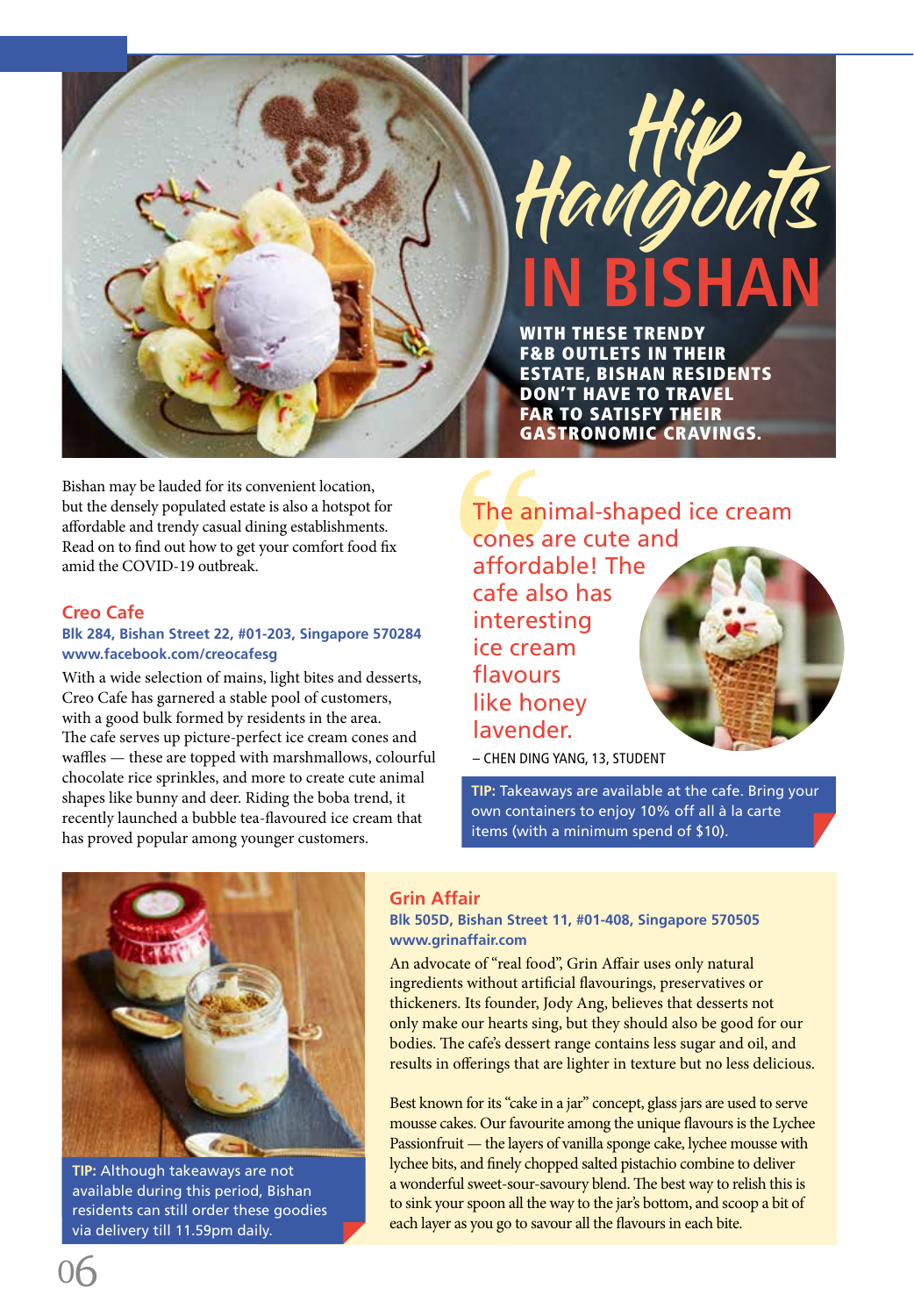



WITH THESE TRENDY F&B OUTLETS IN THEIR ESTATE, BISHAN RESIDENTS DON'T HAVE TO TRAVEL FAR TO SATISFY THEIR GASTRONOMIC CRAVINGS.

Bishan may be lauded for its convenient location, but the densely populated estate is also a hotspot for affordable and trendy casual dining establishments. Read on to find out how to get your comfort food fix amid the COVID-19 outbreak.

# **Creo Cafe**

# **Blk 284, Bishan Street 22, #01-203, Singapore 570284 www.facebook.com/creocafesg**

With a wide selection of mains, light bites and desserts, Creo Cafe has garnered a stable pool of customers, with a good bulk formed by residents in the area. The cafe serves up picture-perfect ice cream cones and waffles — these are topped with marshmallows, colourful chocolate rice sprinkles, and more to create cute animal shapes like bunny and deer. Riding the boba trend, it recently launched a bubble tea-flavoured ice cream that has proved popular among younger customers.

The animal-shaped ice cream cones are cute and affordable! The cafe also has interesting ice cream flavours like honey lavender.

– CHEN DING YANG, 13, STUDENT

**TIP:** Takeaways are available at the cafe. Bring your own containers to enjoy 10% off all à la carte items (with a minimum spend of \$10).



**TIP:** Although takeaways are not available during this period, Bishan residents can still order these goodies via delivery till 11.59pm daily.

## **Grin Affair**

**Blk 505D, Bishan Street 11, #01-408, Singapore 570505 www.grinaffair.com**

An advocate of "real food", Grin Affair uses only natural ingredients without artificial flavourings, preservatives or thickeners. Its founder, Jody Ang, believes that desserts not only make our hearts sing, but they should also be good for our bodies. The cafe's dessert range contains less sugar and oil, and results in offerings that are lighter in texture but no less delicious.

Best known for its "cake in a jar" concept, glass jars are used to serve mousse cakes. Our favourite among the unique flavours is the Lychee Passionfruit — the layers of vanilla sponge cake, lychee mousse with lychee bits, and finely chopped salted pistachio combine to deliver a wonderful sweet-sour-savoury blend. The best way to relish this is to sink your spoon all the way to the jar's bottom, and scoop a bit of each layer as you go to savour all the flavours in each bite.